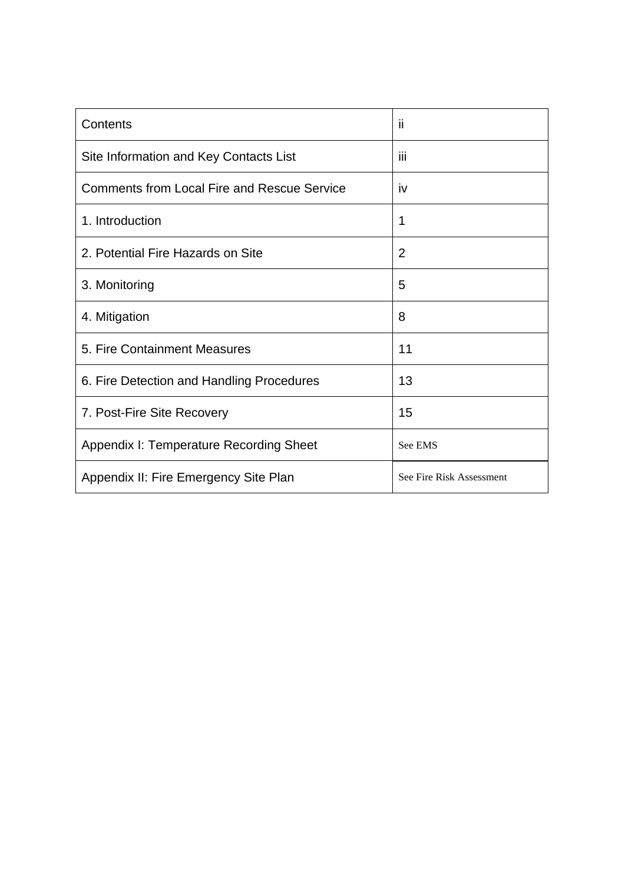| Contents                                           | п                        |
|----------------------------------------------------|--------------------------|
| Site Information and Key Contacts List             | Ϊij                      |
| <b>Comments from Local Fire and Rescue Service</b> | <b>iv</b>                |
| 1. Introduction                                    | 1                        |
| 2. Potential Fire Hazards on Site                  | $\overline{2}$           |
| 3. Monitoring                                      | 5                        |
| 4. Mitigation                                      | 8                        |
| 5. Fire Containment Measures                       | 11                       |
| 6. Fire Detection and Handling Procedures          | 13                       |
| 7. Post-Fire Site Recovery                         | 15                       |
| Appendix I: Temperature Recording Sheet            | See EMS                  |
| Appendix II: Fire Emergency Site Plan              | See Fire Risk Assessment |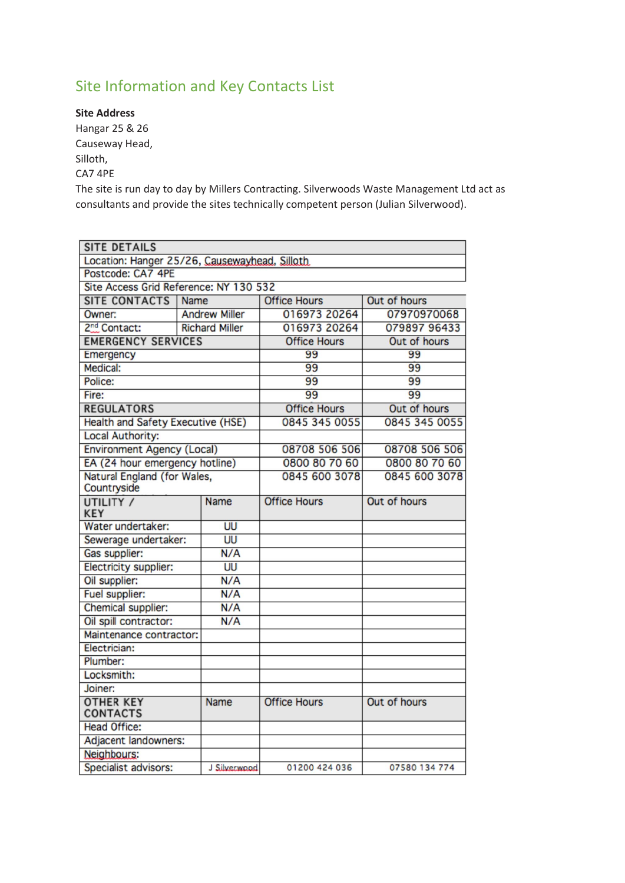# Site Information and Key Contacts List

**Site Address** Hangar 25 & 26 Causeway Head, Silloth, CA7 4PE

The site is run day to day by Millers Contracting. Silverwoods Waste Management Ltd act as consultants and provide the sites technically competent person (Julian Silverwood).

| <b>SITE DETAILS</b>                           |                       |                     |               |
|-----------------------------------------------|-----------------------|---------------------|---------------|
| Location: Hanger 25/26, Causewayhead, Silloth |                       |                     |               |
| Postcode: CA7 4PE                             |                       |                     |               |
| Site Access Grid Reference: NY 130 532        |                       |                     |               |
| SITE CONTACTS   Name                          |                       | <b>Office Hours</b> | Out of hours  |
| Owner:                                        | <b>Andrew Miller</b>  | 016973 20264        | 07970970068   |
| 2 <sup>nd</sup> Contact:                      | <b>Richard Miller</b> | 016973 20264        | 079897 96433  |
| <b>EMERGENCY SERVICES</b>                     |                       | <b>Office Hours</b> | Out of hours  |
| Emergency                                     |                       | 99                  | 99            |
| Medical:                                      |                       | 99                  | 99            |
| Police:                                       |                       | 99                  | 99            |
| Fire:                                         |                       | 99                  | 99            |
| <b>REGULATORS</b>                             |                       | <b>Office Hours</b> | Out of hours  |
| Health and Safety Executive (HSE)             |                       | 0845 345 0055       | 0845 345 0055 |
| <b>Local Authority:</b>                       |                       |                     |               |
| Environment Agency (Local)                    |                       | 08708 506 506       | 08708 506 506 |
| EA (24 hour emergency hotline)                |                       | 0800 80 70 60       | 0800 80 70 60 |
| Natural England (for Wales,                   |                       | 0845 600 3078       | 0845 600 3078 |
| Countryside                                   |                       |                     |               |
| UTILITY /<br><b>KEY</b>                       | <b>Name</b>           | <b>Office Hours</b> | Out of hours  |
| Water undertaker:                             | UU                    |                     |               |
| Sewerage undertaker:                          | UU                    |                     |               |
| Gas supplier:                                 | N/A                   |                     |               |
| Electricity supplier:                         | UU                    |                     |               |
| Oil supplier:                                 | N/A                   |                     |               |
| Fuel supplier:                                | N/A                   |                     |               |
| Chemical supplier:                            | N/A                   |                     |               |
| Oil spill contractor:                         | N/A                   |                     |               |
| Maintenance contractor:                       |                       |                     |               |
| Electrician:                                  |                       |                     |               |
| Plumber:                                      |                       |                     |               |
| Locksmith:                                    |                       |                     |               |
| Joiner:                                       |                       |                     |               |
| <b>OTHER KEY</b><br><b>CONTACTS</b>           | <b>Name</b>           | <b>Office Hours</b> | Out of hours  |
| <b>Head Office:</b>                           |                       |                     |               |
| Adjacent landowners:                          |                       |                     |               |
| Neighbours:                                   |                       |                     |               |
| Specialist advisors:                          | J Silverwood          | 01200 424 036       | 07580 134 774 |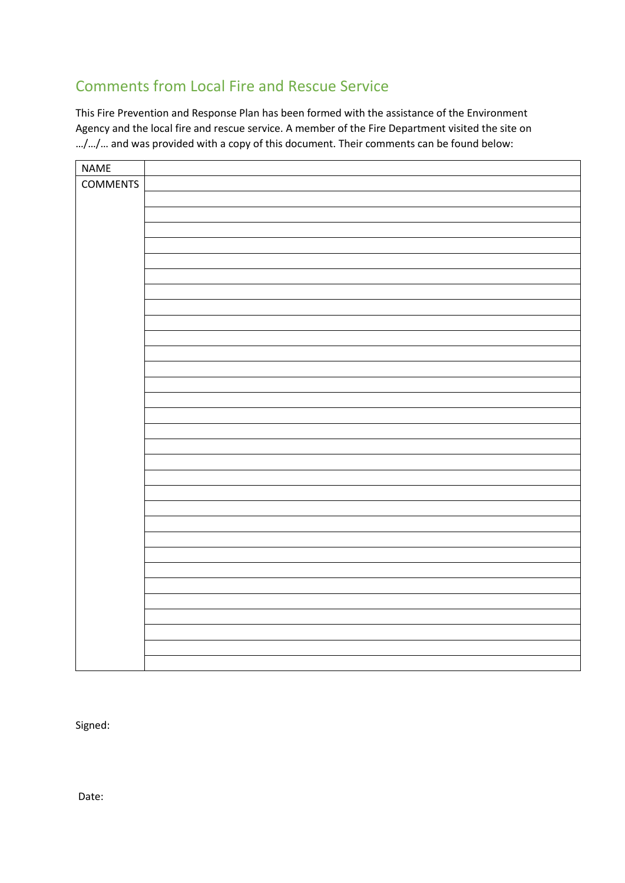# Comments from Local Fire and Rescue Service

This Fire Prevention and Response Plan has been formed with the assistance of the Environment Agency and the local fire and rescue service. A member of the Fire Department visited the site on …/…/… and was provided with a copy of this document. Their comments can be found below:

| <b>NAME</b>     |  |
|-----------------|--|
| <b>COMMENTS</b> |  |
|                 |  |
|                 |  |
|                 |  |
|                 |  |
|                 |  |
|                 |  |
|                 |  |
|                 |  |
|                 |  |
|                 |  |
|                 |  |
|                 |  |
|                 |  |
|                 |  |
|                 |  |
|                 |  |
|                 |  |
|                 |  |
|                 |  |
|                 |  |
|                 |  |
|                 |  |
|                 |  |
|                 |  |
|                 |  |
|                 |  |
|                 |  |
|                 |  |
|                 |  |
|                 |  |

Signed:

Date: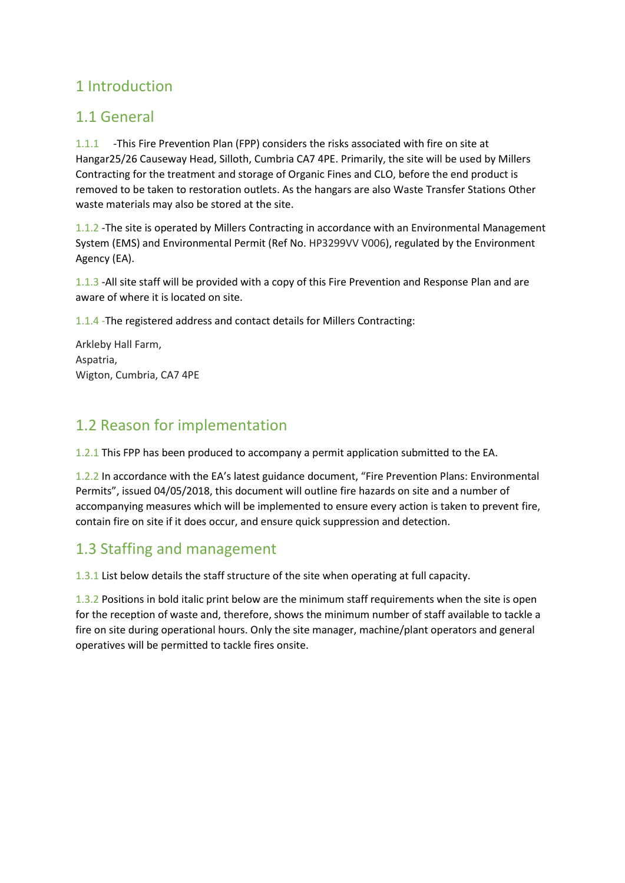# 1 Introduction

# 1.1 General

1.1.1 -This Fire Prevention Plan (FPP) considers the risks associated with fire on site at Hangar25/26 Causeway Head, Silloth, Cumbria CA7 4PE. Primarily, the site will be used by Millers Contracting for the treatment and storage of Organic Fines and CLO, before the end product is removed to be taken to restoration outlets. As the hangars are also Waste Transfer Stations Other waste materials may also be stored at the site.

1.1.2 -The site is operated by Millers Contracting in accordance with an Environmental Management System (EMS) and Environmental Permit (Ref No. HP3299VV V006), regulated by the Environment Agency (EA).

1.1.3 -All site staff will be provided with a copy of this Fire Prevention and Response Plan and are aware of where it is located on site.

1.1.4 -The registered address and contact details for Millers Contracting:

Arkleby Hall Farm, Aspatria, Wigton, Cumbria, CA7 4PE

# 1.2 Reason for implementation

1.2.1 This FPP has been produced to accompany a permit application submitted to the EA.

1.2.2 In accordance with the EA's latest guidance document, "Fire Prevention Plans: Environmental Permits", issued 04/05/2018, this document will outline fire hazards on site and a number of accompanying measures which will be implemented to ensure every action is taken to prevent fire, contain fire on site if it does occur, and ensure quick suppression and detection.

# 1.3 Staffing and management

1.3.1 List below details the staff structure of the site when operating at full capacity.

1.3.2 Positions in bold italic print below are the minimum staff requirements when the site is open for the reception of waste and, therefore, shows the minimum number of staff available to tackle a fire on site during operational hours. Only the site manager, machine/plant operators and general operatives will be permitted to tackle fires onsite.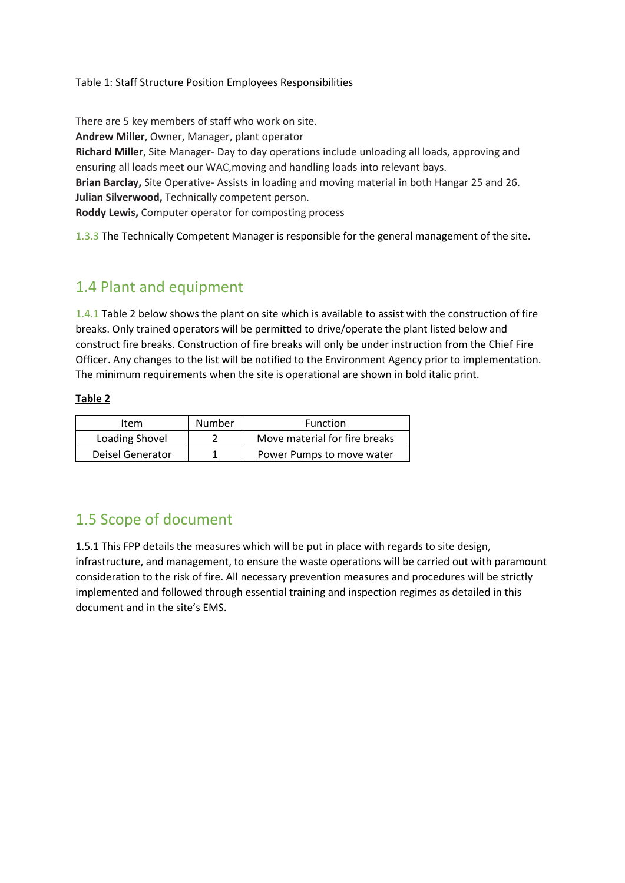Table 1: Staff Structure Position Employees Responsibilities

There are 5 key members of staff who work on site. **Andrew Miller**, Owner, Manager, plant operator **Richard Miller**, Site Manager- Day to day operations include unloading all loads, approving and ensuring all loads meet our WAC,moving and handling loads into relevant bays. **Brian Barclay,** Site Operative- Assists in loading and moving material in both Hangar 25 and 26. **Julian Silverwood,** Technically competent person. **Roddy Lewis,** Computer operator for composting process

1.3.3 The Technically Competent Manager is responsible for the general management of the site.

## 1.4 Plant and equipment

1.4.1 Table 2 below shows the plant on site which is available to assist with the construction of fire breaks. Only trained operators will be permitted to drive/operate the plant listed below and construct fire breaks. Construction of fire breaks will only be under instruction from the Chief Fire Officer. Any changes to the list will be notified to the Environment Agency prior to implementation. The minimum requirements when the site is operational are shown in bold italic print.

#### **Table 2**

| Item             | Number | Function                      |
|------------------|--------|-------------------------------|
| Loading Shovel   |        | Move material for fire breaks |
| Deisel Generator |        | Power Pumps to move water     |

# 1.5 Scope of document

1.5.1 This FPP details the measures which will be put in place with regards to site design, infrastructure, and management, to ensure the waste operations will be carried out with paramount consideration to the risk of fire. All necessary prevention measures and procedures will be strictly implemented and followed through essential training and inspection regimes as detailed in this document and in the site's EMS.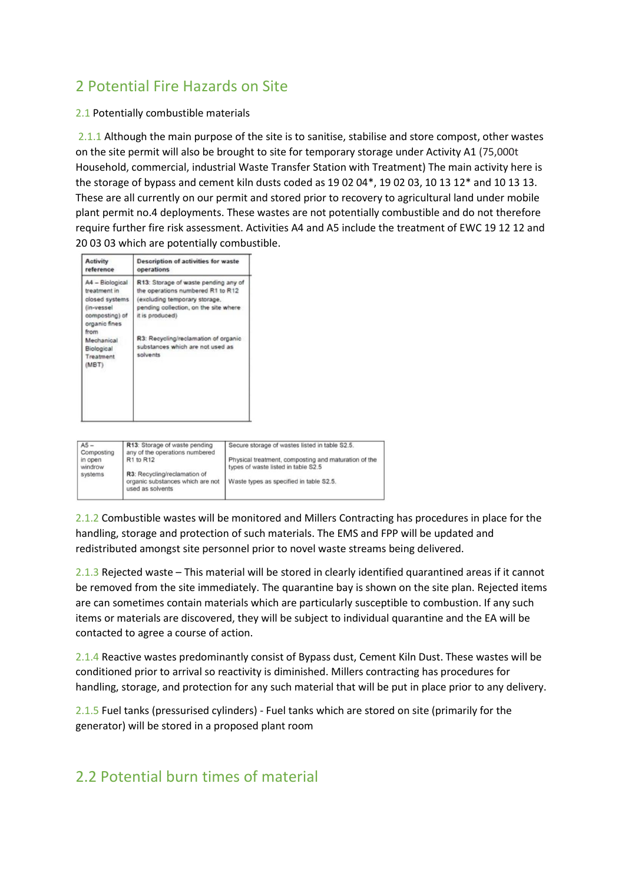# 2 Potential Fire Hazards on Site

#### 2.1 Potentially combustible materials

2.1.1 Although the main purpose of the site is to sanitise, stabilise and store compost, other wastes on the site permit will also be brought to site for temporary storage under Activity A1 (75,000t Household, commercial, industrial Waste Transfer Station with Treatment) The main activity here is the storage of bypass and cement kiln dusts coded as 19 02 04\*, 19 02 03, 10 13 12\* and 10 13 13. These are all currently on our permit and stored prior to recovery to agricultural land under mobile plant permit no.4 deployments. These wastes are not potentially combustible and do not therefore require further fire risk assessment. Activities A4 and A5 include the treatment of EWC 19 12 12 and 20 03 03 which are potentially combustible.

| Activity<br>reference                                                                              | <b>Description of activities for waste</b><br>operations                                                                                                               |
|----------------------------------------------------------------------------------------------------|------------------------------------------------------------------------------------------------------------------------------------------------------------------------|
| A4 - Biological<br>treatment in<br>closed systems<br>(in-vessel<br>composting) of<br>organic fines | R13: Storage of waste pending any of<br>the operations numbered R1 to R12<br>(excluding temporary storage,<br>pending collection, on the site where<br>it is produced) |
| from<br>Mechanical<br>Biological<br>Treatment<br>(MBT)                                             | R3: Recycling/reclamation of organic<br>substances which are not used as<br>solvents                                                                                   |

| $AS -$                | R13: Storage of waste pending                        | Secure storage of wastes listed in table S2.5.       |
|-----------------------|------------------------------------------------------|------------------------------------------------------|
| Composting<br>in open | any of the operations numbered<br>R1 to R12          | Physical treatment, composting and maturation of the |
| windrow               |                                                      | types of waste listed in table S2.5                  |
| systems               | R3: Recycling/reclamation of                         |                                                      |
|                       | organic substances which are not<br>used as solvents | Waste types as specified in table S2.5.              |

2.1.2 Combustible wastes will be monitored and Millers Contracting has procedures in place for the handling, storage and protection of such materials. The EMS and FPP will be updated and redistributed amongst site personnel prior to novel waste streams being delivered.

2.1.3 Rejected waste – This material will be stored in clearly identified quarantined areas if it cannot be removed from the site immediately. The quarantine bay is shown on the site plan. Rejected items are can sometimes contain materials which are particularly susceptible to combustion. If any such items or materials are discovered, they will be subject to individual quarantine and the EA will be contacted to agree a course of action.

2.1.4 Reactive wastes predominantly consist of Bypass dust, Cement Kiln Dust. These wastes will be conditioned prior to arrival so reactivity is diminished. Millers contracting has procedures for handling, storage, and protection for any such material that will be put in place prior to any delivery.

2.1.5 Fuel tanks (pressurised cylinders) - Fuel tanks which are stored on site (primarily for the generator) will be stored in a proposed plant room

# 2.2 Potential burn times of material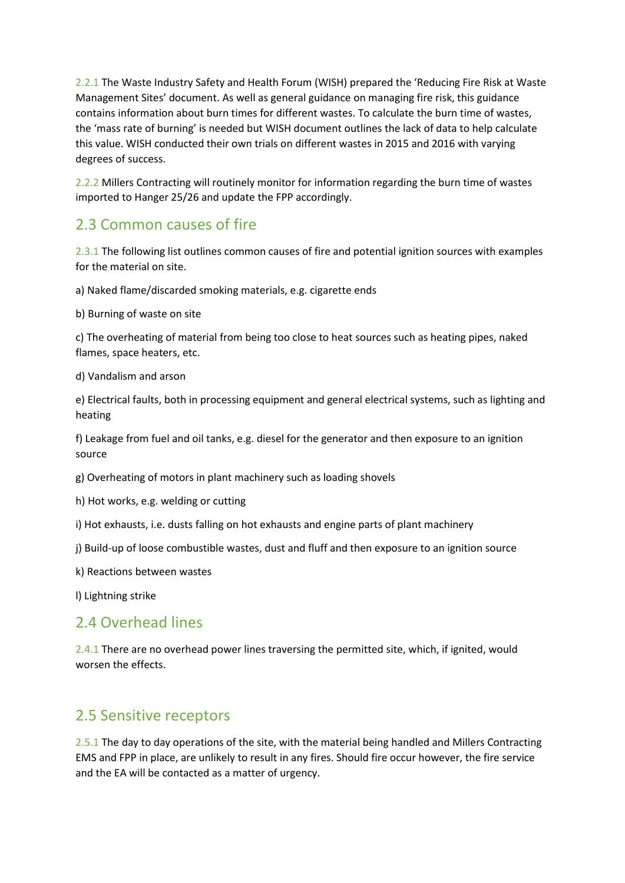2.2.1 The Waste Industry Safety and Health Forum (WISH) prepared the 'Reducing Fire Risk at Waste Management Sites' document. As well as general guidance on managing fire risk, this guidance contains information about burn times for different wastes. To calculate the burn time of wastes, the 'mass rate of burning' is needed but WISH document outlines the lack of data to help calculate this value. WISH conducted their own trials on different wastes in 2015 and 2016 with varying degrees of success.

2.2.2 Millers Contracting will routinely monitor for information regarding the burn time of wastes imported to Hanger 25/26 and update the FPP accordingly.

#### 2.3 Common causes of fire

2.3.1 The following list outlines common causes of fire and potential ignition sources with examples for the material on site.

a) Naked flame/discarded smoking materials, e.g. cigarette ends

b) Burning of waste on site

c) The overheating of material from being too close to heat sources such as heating pipes, naked flames, space heaters, etc.

d) Vandalism and arson

e) Electrical faults, both in processing equipment and general electrical systems, such as lighting and heating

f) Leakage from fuel and oil tanks, e.g. diesel for the generator and then exposure to an ignition source

g) Overheating of motors in plant machinery such as loading shovels

h) Hot works, e.g. welding or cutting

i) Hot exhausts, i.e. dusts falling on hot exhausts and engine parts of plant machinery

j) Build-up of loose combustible wastes, dust and fluff and then exposure to an ignition source

k) Reactions between wastes

l) Lightning strike

#### 2.4 Overhead lines

2.4.1 There are no overhead power lines traversing the permitted site, which, if ignited, would worsen the effects.

#### 2.5 Sensitive receptors

2.5.1 The day to day operations of the site, with the material being handled and Millers Contracting EMS and FPP in place, are unlikely to result in any fires. Should fire occur however, the fire service and the EA will be contacted as a matter of urgency.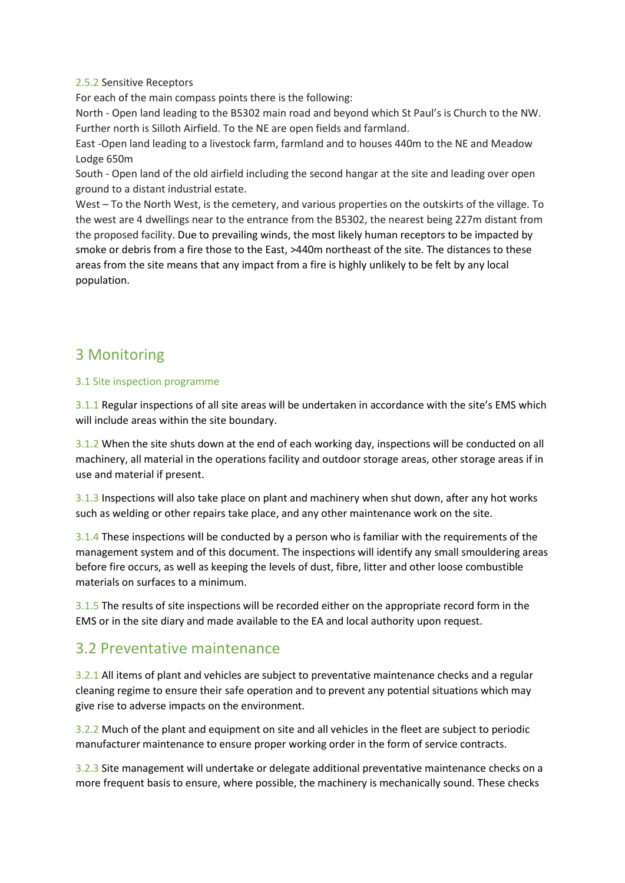#### 2.5.2 Sensitive Receptors

For each of the main compass points there is the following:

North - Open land leading to the B5302 main road and beyond which St Paul's is Church to the NW. Further north is Silloth Airfield. To the NE are open fields and farmland.

East -Open land leading to a livestock farm, farmland and to houses 440m to the NE and Meadow Lodge 650m

South - Open land of the old airfield including the second hangar at the site and leading over open ground to a distant industrial estate.

West – To the North West, is the cemetery, and various properties on the outskirts of the village. To the west are 4 dwellings near to the entrance from the B5302, the nearest being 227m distant from the proposed facility. Due to prevailing winds, the most likely human receptors to be impacted by smoke or debris from a fire those to the East, >440m northeast of the site. The distances to these areas from the site means that any impact from a fire is highly unlikely to be felt by any local population.

## 3 Monitoring

#### 3.1 Site inspection programme

3.1.1 Regular inspections of all site areas will be undertaken in accordance with the site's EMS which will include areas within the site boundary.

3.1.2 When the site shuts down at the end of each working day, inspections will be conducted on all machinery, all material in the operations facility and outdoor storage areas, other storage areas if in use and material if present.

3.1.3 Inspections will also take place on plant and machinery when shut down, after any hot works such as welding or other repairs take place, and any other maintenance work on the site.

3.1.4 These inspections will be conducted by a person who is familiar with the requirements of the management system and of this document. The inspections will identify any small smouldering areas before fire occurs, as well as keeping the levels of dust, fibre, litter and other loose combustible materials on surfaces to a minimum.

3.1.5 The results of site inspections will be recorded either on the appropriate record form in the EMS or in the site diary and made available to the EA and local authority upon request.

#### 3.2 Preventative maintenance

3.2.1 All items of plant and vehicles are subject to preventative maintenance checks and a regular cleaning regime to ensure their safe operation and to prevent any potential situations which may give rise to adverse impacts on the environment.

3.2.2 Much of the plant and equipment on site and all vehicles in the fleet are subject to periodic manufacturer maintenance to ensure proper working order in the form of service contracts.

3.2.3 Site management will undertake or delegate additional preventative maintenance checks on a more frequent basis to ensure, where possible, the machinery is mechanically sound. These checks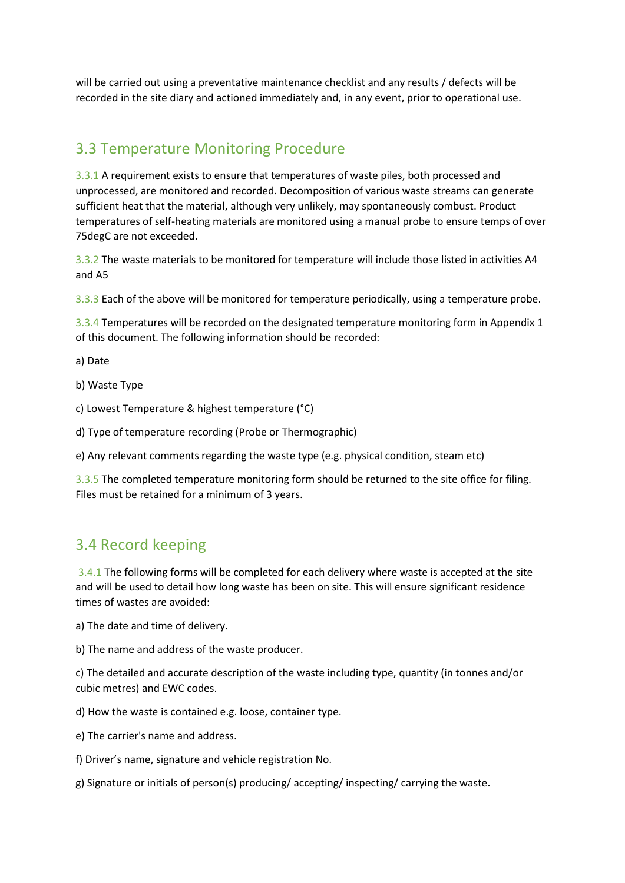will be carried out using a preventative maintenance checklist and any results / defects will be recorded in the site diary and actioned immediately and, in any event, prior to operational use.

## 3.3 Temperature Monitoring Procedure

3.3.1 A requirement exists to ensure that temperatures of waste piles, both processed and unprocessed, are monitored and recorded. Decomposition of various waste streams can generate sufficient heat that the material, although very unlikely, may spontaneously combust. Product temperatures of self-heating materials are monitored using a manual probe to ensure temps of over 75degC are not exceeded.

3.3.2 The waste materials to be monitored for temperature will include those listed in activities A4 and A5

3.3.3 Each of the above will be monitored for temperature periodically, using a temperature probe.

3.3.4 Temperatures will be recorded on the designated temperature monitoring form in Appendix 1 of this document. The following information should be recorded:

a) Date

b) Waste Type

c) Lowest Temperature & highest temperature (°C)

d) Type of temperature recording (Probe or Thermographic)

e) Any relevant comments regarding the waste type (e.g. physical condition, steam etc)

3.3.5 The completed temperature monitoring form should be returned to the site office for filing. Files must be retained for a minimum of 3 years.

#### 3.4 Record keeping

3.4.1 The following forms will be completed for each delivery where waste is accepted at the site and will be used to detail how long waste has been on site. This will ensure significant residence times of wastes are avoided:

a) The date and time of delivery.

b) The name and address of the waste producer.

c) The detailed and accurate description of the waste including type, quantity (in tonnes and/or cubic metres) and EWC codes.

d) How the waste is contained e.g. loose, container type.

e) The carrier's name and address.

f) Driver's name, signature and vehicle registration No.

g) Signature or initials of person(s) producing/ accepting/ inspecting/ carrying the waste.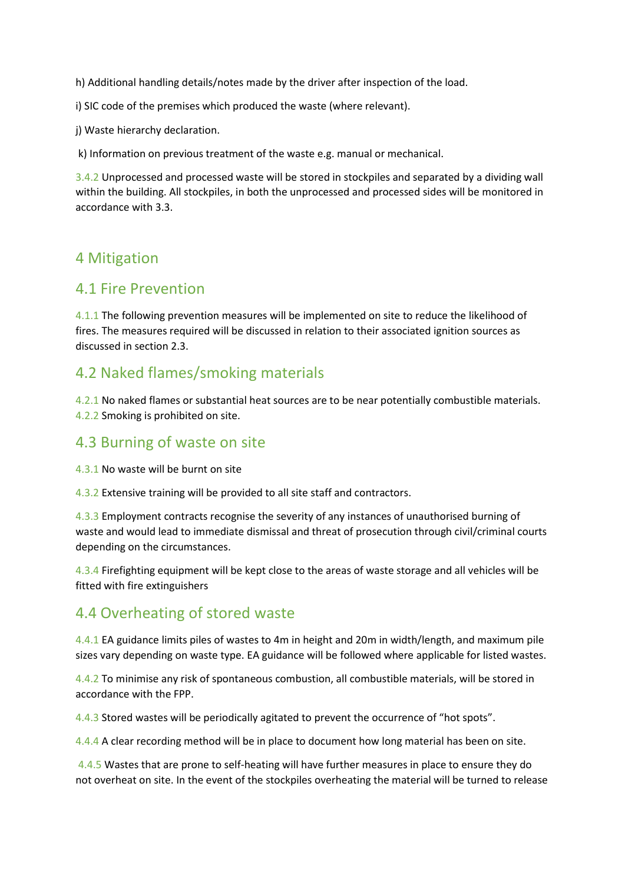h) Additional handling details/notes made by the driver after inspection of the load.

i) SIC code of the premises which produced the waste (where relevant).

j) Waste hierarchy declaration.

k) Information on previous treatment of the waste e.g. manual or mechanical.

3.4.2 Unprocessed and processed waste will be stored in stockpiles and separated by a dividing wall within the building. All stockpiles, in both the unprocessed and processed sides will be monitored in accordance with 3.3.

#### 4 Mitigation

#### 4.1 Fire Prevention

4.1.1 The following prevention measures will be implemented on site to reduce the likelihood of fires. The measures required will be discussed in relation to their associated ignition sources as discussed in section 2.3.

## 4.2 Naked flames/smoking materials

4.2.1 No naked flames or substantial heat sources are to be near potentially combustible materials. 4.2.2 Smoking is prohibited on site.

#### 4.3 Burning of waste on site

4.3.1 No waste will be burnt on site

4.3.2 Extensive training will be provided to all site staff and contractors.

4.3.3 Employment contracts recognise the severity of any instances of unauthorised burning of waste and would lead to immediate dismissal and threat of prosecution through civil/criminal courts depending on the circumstances.

4.3.4 Firefighting equipment will be kept close to the areas of waste storage and all vehicles will be fitted with fire extinguishers

# 4.4 Overheating of stored waste

4.4.1 EA guidance limits piles of wastes to 4m in height and 20m in width/length, and maximum pile sizes vary depending on waste type. EA guidance will be followed where applicable for listed wastes.

4.4.2 To minimise any risk of spontaneous combustion, all combustible materials, will be stored in accordance with the FPP.

4.4.3 Stored wastes will be periodically agitated to prevent the occurrence of "hot spots".

4.4.4 A clear recording method will be in place to document how long material has been on site.

4.4.5 Wastes that are prone to self-heating will have further measures in place to ensure they do not overheat on site. In the event of the stockpiles overheating the material will be turned to release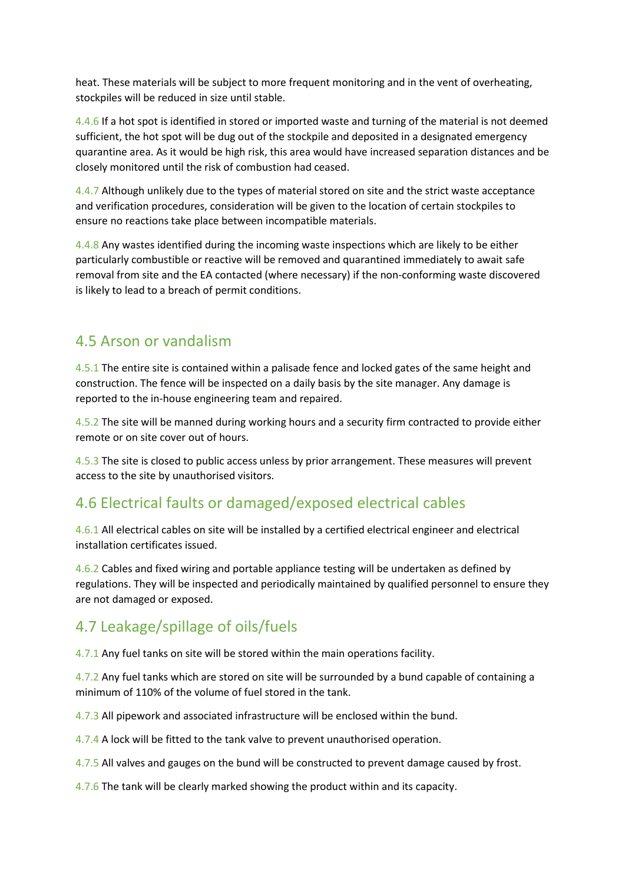heat. These materials will be subject to more frequent monitoring and in the vent of overheating, stockpiles will be reduced in size until stable.

4.4.6 If a hot spot is identified in stored or imported waste and turning of the material is not deemed sufficient, the hot spot will be dug out of the stockpile and deposited in a designated emergency quarantine area. As it would be high risk, this area would have increased separation distances and be closely monitored until the risk of combustion had ceased.

4.4.7 Although unlikely due to the types of material stored on site and the strict waste acceptance and verification procedures, consideration will be given to the location of certain stockpiles to ensure no reactions take place between incompatible materials.

4.4.8 Any wastes identified during the incoming waste inspections which are likely to be either particularly combustible or reactive will be removed and quarantined immediately to await safe removal from site and the EA contacted (where necessary) if the non-conforming waste discovered is likely to lead to a breach of permit conditions.

## 4.5 Arson or vandalism

4.5.1 The entire site is contained within a palisade fence and locked gates of the same height and construction. The fence will be inspected on a daily basis by the site manager. Any damage is reported to the in-house engineering team and repaired.

4.5.2 The site will be manned during working hours and a security firm contracted to provide either remote or on site cover out of hours.

4.5.3 The site is closed to public access unless by prior arrangement. These measures will prevent access to the site by unauthorised visitors.

# 4.6 Electrical faults or damaged/exposed electrical cables

4.6.1 All electrical cables on site will be installed by a certified electrical engineer and electrical installation certificates issued.

4.6.2 Cables and fixed wiring and portable appliance testing will be undertaken as defined by regulations. They will be inspected and periodically maintained by qualified personnel to ensure they are not damaged or exposed.

# 4.7 Leakage/spillage of oils/fuels

4.7.1 Any fuel tanks on site will be stored within the main operations facility.

4.7.2 Any fuel tanks which are stored on site will be surrounded by a bund capable of containing a minimum of 110% of the volume of fuel stored in the tank.

4.7.3 All pipework and associated infrastructure will be enclosed within the bund.

4.7.4 A lock will be fitted to the tank valve to prevent unauthorised operation.

4.7.5 All valves and gauges on the bund will be constructed to prevent damage caused by frost.

4.7.6 The tank will be clearly marked showing the product within and its capacity.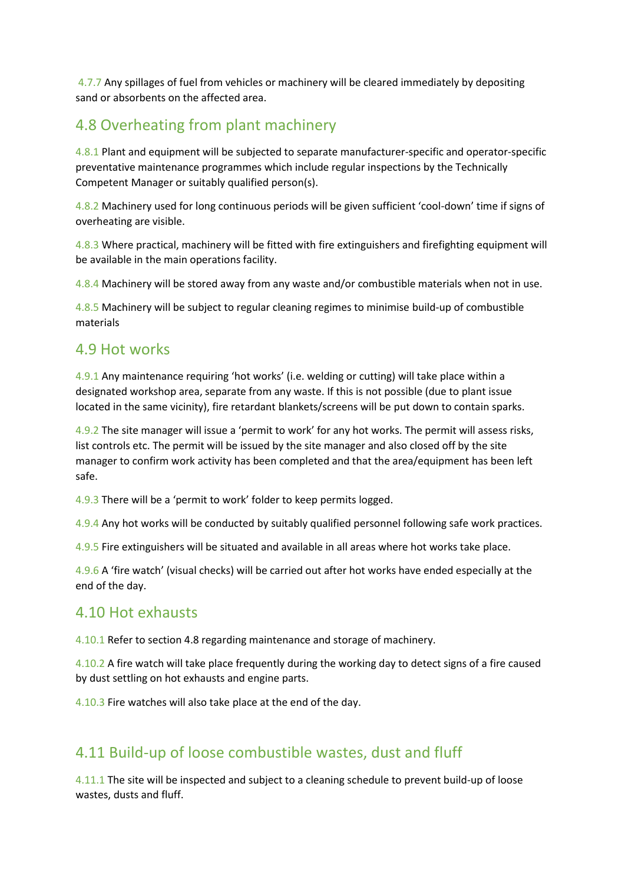4.7.7 Any spillages of fuel from vehicles or machinery will be cleared immediately by depositing sand or absorbents on the affected area.

# 4.8 Overheating from plant machinery

4.8.1 Plant and equipment will be subjected to separate manufacturer-specific and operator-specific preventative maintenance programmes which include regular inspections by the Technically Competent Manager or suitably qualified person(s).

4.8.2 Machinery used for long continuous periods will be given sufficient 'cool-down' time if signs of overheating are visible.

4.8.3 Where practical, machinery will be fitted with fire extinguishers and firefighting equipment will be available in the main operations facility.

4.8.4 Machinery will be stored away from any waste and/or combustible materials when not in use.

4.8.5 Machinery will be subject to regular cleaning regimes to minimise build-up of combustible materials

#### 4.9 Hot works

4.9.1 Any maintenance requiring 'hot works' (i.e. welding or cutting) will take place within a designated workshop area, separate from any waste. If this is not possible (due to plant issue located in the same vicinity), fire retardant blankets/screens will be put down to contain sparks.

4.9.2 The site manager will issue a 'permit to work' for any hot works. The permit will assess risks, list controls etc. The permit will be issued by the site manager and also closed off by the site manager to confirm work activity has been completed and that the area/equipment has been left safe.

4.9.3 There will be a 'permit to work' folder to keep permits logged.

4.9.4 Any hot works will be conducted by suitably qualified personnel following safe work practices.

4.9.5 Fire extinguishers will be situated and available in all areas where hot works take place.

4.9.6 A 'fire watch' (visual checks) will be carried out after hot works have ended especially at the end of the day.

#### 4.10 Hot exhausts

4.10.1 Refer to section 4.8 regarding maintenance and storage of machinery.

4.10.2 A fire watch will take place frequently during the working day to detect signs of a fire caused by dust settling on hot exhausts and engine parts.

4.10.3 Fire watches will also take place at the end of the day.

#### 4.11 Build-up of loose combustible wastes, dust and fluff

4.11.1 The site will be inspected and subject to a cleaning schedule to prevent build-up of loose wastes, dusts and fluff.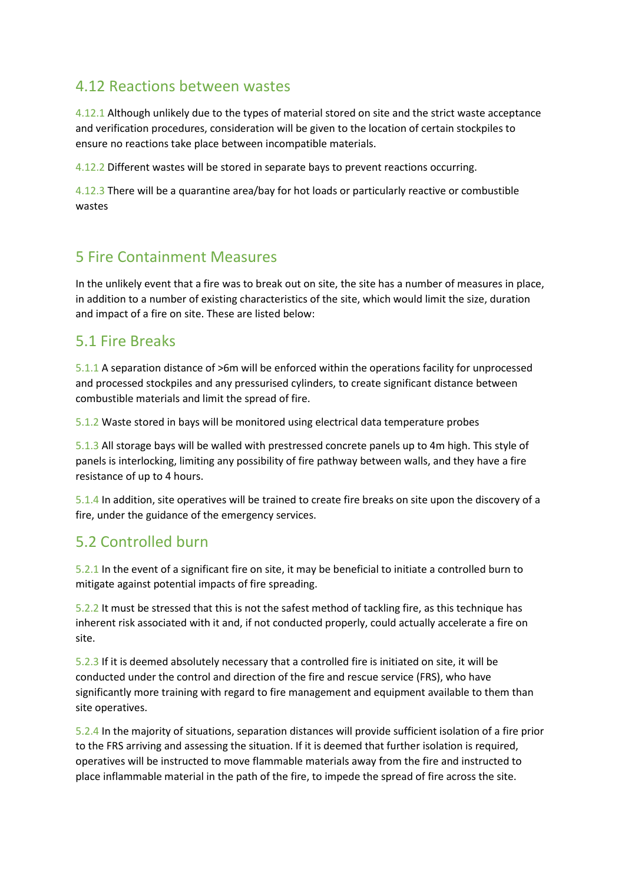## 4.12 Reactions between wastes

4.12.1 Although unlikely due to the types of material stored on site and the strict waste acceptance and verification procedures, consideration will be given to the location of certain stockpiles to ensure no reactions take place between incompatible materials.

4.12.2 Different wastes will be stored in separate bays to prevent reactions occurring.

4.12.3 There will be a quarantine area/bay for hot loads or particularly reactive or combustible wastes

# 5 Fire Containment Measures

In the unlikely event that a fire was to break out on site, the site has a number of measures in place, in addition to a number of existing characteristics of the site, which would limit the size, duration and impact of a fire on site. These are listed below:

#### 5.1 Fire Breaks

5.1.1 A separation distance of >6m will be enforced within the operations facility for unprocessed and processed stockpiles and any pressurised cylinders, to create significant distance between combustible materials and limit the spread of fire.

5.1.2 Waste stored in bays will be monitored using electrical data temperature probes

5.1.3 All storage bays will be walled with prestressed concrete panels up to 4m high. This style of panels is interlocking, limiting any possibility of fire pathway between walls, and they have a fire resistance of up to 4 hours.

5.1.4 In addition, site operatives will be trained to create fire breaks on site upon the discovery of a fire, under the guidance of the emergency services.

# 5.2 Controlled burn

5.2.1 In the event of a significant fire on site, it may be beneficial to initiate a controlled burn to mitigate against potential impacts of fire spreading.

5.2.2 It must be stressed that this is not the safest method of tackling fire, as this technique has inherent risk associated with it and, if not conducted properly, could actually accelerate a fire on site.

5.2.3 If it is deemed absolutely necessary that a controlled fire is initiated on site, it will be conducted under the control and direction of the fire and rescue service (FRS), who have significantly more training with regard to fire management and equipment available to them than site operatives.

5.2.4 In the majority of situations, separation distances will provide sufficient isolation of a fire prior to the FRS arriving and assessing the situation. If it is deemed that further isolation is required, operatives will be instructed to move flammable materials away from the fire and instructed to place inflammable material in the path of the fire, to impede the spread of fire across the site.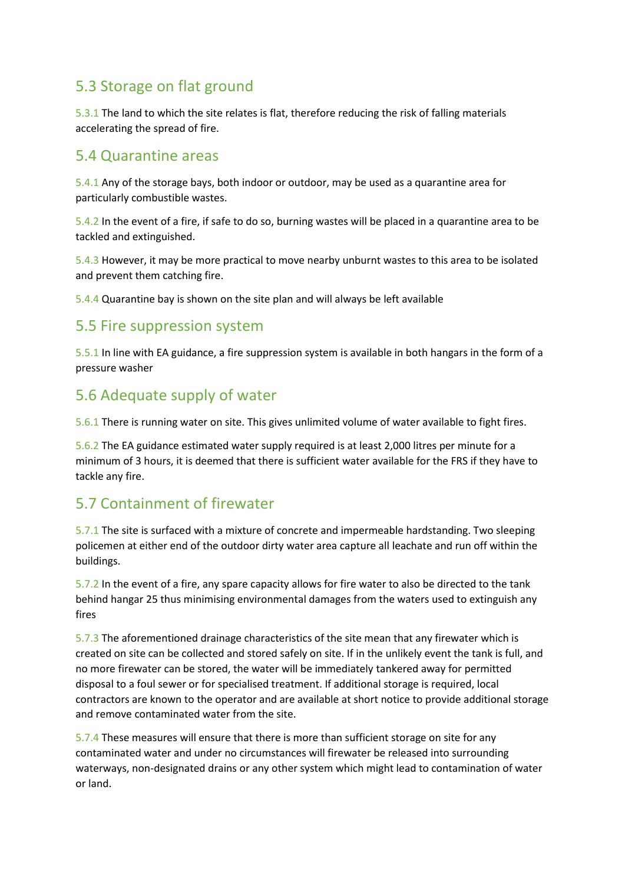# 5.3 Storage on flat ground

5.3.1 The land to which the site relates is flat, therefore reducing the risk of falling materials accelerating the spread of fire.

#### 5.4 Quarantine areas

5.4.1 Any of the storage bays, both indoor or outdoor, may be used as a quarantine area for particularly combustible wastes.

5.4.2 In the event of a fire, if safe to do so, burning wastes will be placed in a quarantine area to be tackled and extinguished.

5.4.3 However, it may be more practical to move nearby unburnt wastes to this area to be isolated and prevent them catching fire.

5.4.4 Quarantine bay is shown on the site plan and will always be left available

#### 5.5 Fire suppression system

5.5.1 In line with EA guidance, a fire suppression system is available in both hangars in the form of a pressure washer

#### 5.6 Adequate supply of water

5.6.1 There is running water on site. This gives unlimited volume of water available to fight fires.

5.6.2 The EA guidance estimated water supply required is at least 2,000 litres per minute for a minimum of 3 hours, it is deemed that there is sufficient water available for the FRS if they have to tackle any fire.

# 5.7 Containment of firewater

5.7.1 The site is surfaced with a mixture of concrete and impermeable hardstanding. Two sleeping policemen at either end of the outdoor dirty water area capture all leachate and run off within the buildings.

5.7.2 In the event of a fire, any spare capacity allows for fire water to also be directed to the tank behind hangar 25 thus minimising environmental damages from the waters used to extinguish any fires

5.7.3 The aforementioned drainage characteristics of the site mean that any firewater which is created on site can be collected and stored safely on site. If in the unlikely event the tank is full, and no more firewater can be stored, the water will be immediately tankered away for permitted disposal to a foul sewer or for specialised treatment. If additional storage is required, local contractors are known to the operator and are available at short notice to provide additional storage and remove contaminated water from the site.

5.7.4 These measures will ensure that there is more than sufficient storage on site for any contaminated water and under no circumstances will firewater be released into surrounding waterways, non-designated drains or any other system which might lead to contamination of water or land.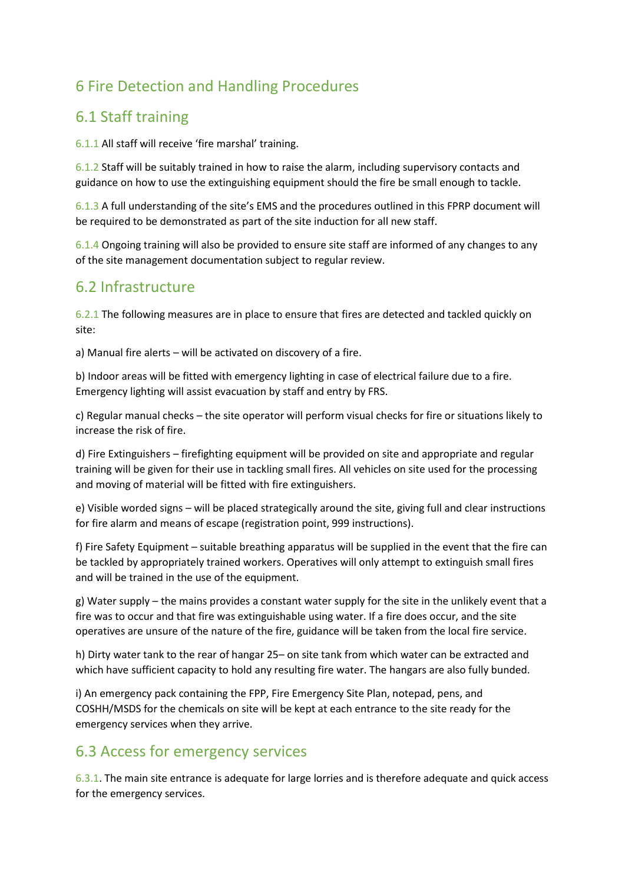# 6 Fire Detection and Handling Procedures

# 6.1 Staff training

6.1.1 All staff will receive 'fire marshal' training.

6.1.2 Staff will be suitably trained in how to raise the alarm, including supervisory contacts and guidance on how to use the extinguishing equipment should the fire be small enough to tackle.

6.1.3 A full understanding of the site's EMS and the procedures outlined in this FPRP document will be required to be demonstrated as part of the site induction for all new staff.

6.1.4 Ongoing training will also be provided to ensure site staff are informed of any changes to any of the site management documentation subject to regular review.

#### 6.2 Infrastructure

6.2.1 The following measures are in place to ensure that fires are detected and tackled quickly on site:

a) Manual fire alerts – will be activated on discovery of a fire.

b) Indoor areas will be fitted with emergency lighting in case of electrical failure due to a fire. Emergency lighting will assist evacuation by staff and entry by FRS.

c) Regular manual checks – the site operator will perform visual checks for fire or situations likely to increase the risk of fire.

d) Fire Extinguishers – firefighting equipment will be provided on site and appropriate and regular training will be given for their use in tackling small fires. All vehicles on site used for the processing and moving of material will be fitted with fire extinguishers.

e) Visible worded signs – will be placed strategically around the site, giving full and clear instructions for fire alarm and means of escape (registration point, 999 instructions).

f) Fire Safety Equipment – suitable breathing apparatus will be supplied in the event that the fire can be tackled by appropriately trained workers. Operatives will only attempt to extinguish small fires and will be trained in the use of the equipment.

g) Water supply – the mains provides a constant water supply for the site in the unlikely event that a fire was to occur and that fire was extinguishable using water. If a fire does occur, and the site operatives are unsure of the nature of the fire, guidance will be taken from the local fire service.

h) Dirty water tank to the rear of hangar 25– on site tank from which water can be extracted and which have sufficient capacity to hold any resulting fire water. The hangars are also fully bunded.

i) An emergency pack containing the FPP, Fire Emergency Site Plan, notepad, pens, and COSHH/MSDS for the chemicals on site will be kept at each entrance to the site ready for the emergency services when they arrive.

# 6.3 Access for emergency services

6.3.1. The main site entrance is adequate for large lorries and is therefore adequate and quick access for the emergency services.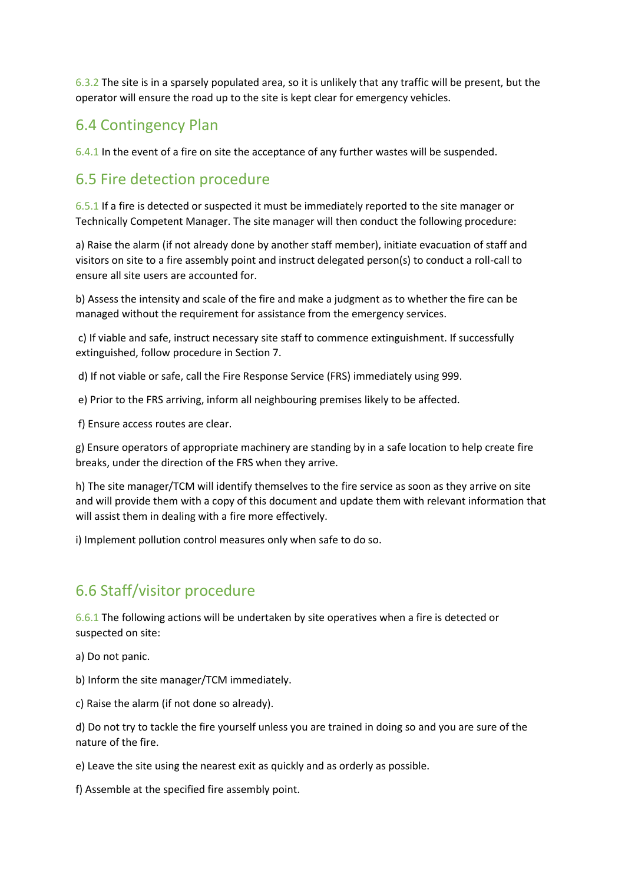6.3.2 The site is in a sparsely populated area, so it is unlikely that any traffic will be present, but the operator will ensure the road up to the site is kept clear for emergency vehicles.

# 6.4 Contingency Plan

6.4.1 In the event of a fire on site the acceptance of any further wastes will be suspended.

## 6.5 Fire detection procedure

6.5.1 If a fire is detected or suspected it must be immediately reported to the site manager or Technically Competent Manager. The site manager will then conduct the following procedure:

a) Raise the alarm (if not already done by another staff member), initiate evacuation of staff and visitors on site to a fire assembly point and instruct delegated person(s) to conduct a roll-call to ensure all site users are accounted for.

b) Assess the intensity and scale of the fire and make a judgment as to whether the fire can be managed without the requirement for assistance from the emergency services.

c) If viable and safe, instruct necessary site staff to commence extinguishment. If successfully extinguished, follow procedure in Section 7.

d) If not viable or safe, call the Fire Response Service (FRS) immediately using 999.

e) Prior to the FRS arriving, inform all neighbouring premises likely to be affected.

f) Ensure access routes are clear.

g) Ensure operators of appropriate machinery are standing by in a safe location to help create fire breaks, under the direction of the FRS when they arrive.

h) The site manager/TCM will identify themselves to the fire service as soon as they arrive on site and will provide them with a copy of this document and update them with relevant information that will assist them in dealing with a fire more effectively.

i) Implement pollution control measures only when safe to do so.

#### 6.6 Staff/visitor procedure

6.6.1 The following actions will be undertaken by site operatives when a fire is detected or suspected on site:

a) Do not panic.

b) Inform the site manager/TCM immediately.

c) Raise the alarm (if not done so already).

d) Do not try to tackle the fire yourself unless you are trained in doing so and you are sure of the nature of the fire.

e) Leave the site using the nearest exit as quickly and as orderly as possible.

f) Assemble at the specified fire assembly point.